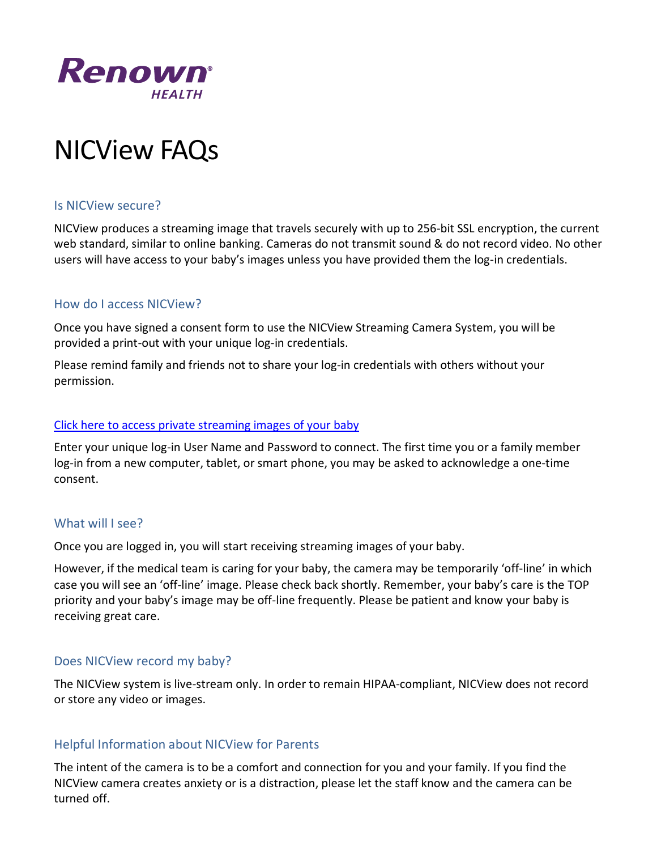

# NICView FAQs

#### Is NICView secure?

NICView produces a streaming image that travels securely with up to 256-bit SSL encryption, the current web standard, similar to online banking. Cameras do not transmit sound & do not record video. No other users will have access to your baby's images unless you have provided them the log-in credentials.

#### How do I access NICView?

Once you have signed a consent form to use the NICView Streaming Camera System, you will be provided a print-out with your unique log-in credentials.

Please remind family and friends not to share your log-in credentials with others without your permission.

#### [Click here to access private streaming images of your baby](https://www.nicview.net/default.aspx)

Enter your unique log-in User Name and Password to connect. The first time you or a family member log-in from a new computer, tablet, or smart phone, you may be asked to acknowledge a one-time consent.

#### What will I see?

Once you are logged in, you will start receiving streaming images of your baby.

However, if the medical team is caring for your baby, the camera may be temporarily 'off-line' in which case you will see an 'off-line' image. Please check back shortly. Remember, your baby's care is the TOP priority and your baby's image may be off-line frequently. Please be patient and know your baby is receiving great care.

### Does NICView record my baby?

The NICView system is live-stream only. In order to remain HIPAA-compliant, NICView does not record or store any video or images.

### Helpful Information about NICView for Parents

The intent of the camera is to be a comfort and connection for you and your family. If you find the NICView camera creates anxiety or is a distraction, please let the staff know and the camera can be turned off.